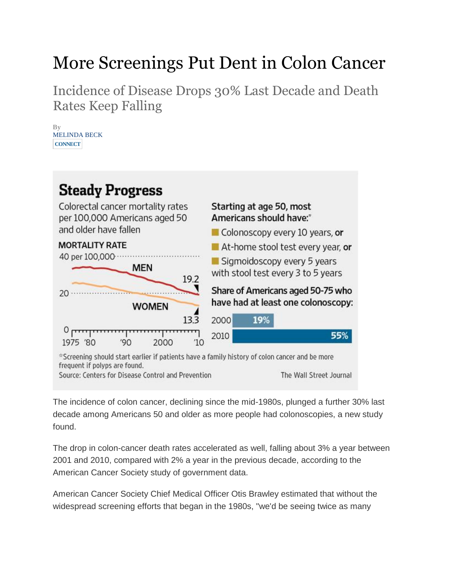## More Screenings Put Dent in Colon Cancer

Incidence of Disease Drops 30% Last Decade and Death Rates Keep Falling

By MELINDA BECK **[CONNECT](http://online.wsj.com/news/articles/SB10001424052702303287804579443362008654576)**



The incidence of colon cancer, declining since the mid-1980s, plunged a further 30% last decade among Americans 50 and older as more people had colonoscopies, a new study found.

The drop in colon-cancer death rates accelerated as well, falling about 3% a year between 2001 and 2010, compared with 2% a year in the previous decade, according to the American Cancer Society study of government data.

American Cancer Society Chief Medical Officer Otis Brawley estimated that without the widespread screening efforts that began in the 1980s, "we'd be seeing twice as many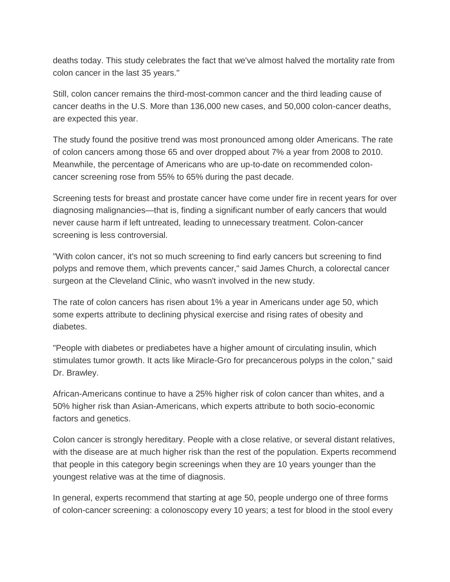deaths today. This study celebrates the fact that we've almost halved the mortality rate from colon cancer in the last 35 years."

Still, colon cancer remains the third-most-common cancer and the third leading cause of cancer deaths in the U.S. More than 136,000 new cases, and 50,000 colon-cancer deaths, are expected this year.

The study found the positive trend was most pronounced among older Americans. The rate of colon cancers among those 65 and over dropped about 7% a year from 2008 to 2010. Meanwhile, the percentage of Americans who are up-to-date on recommended coloncancer screening rose from 55% to 65% during the past decade.

Screening tests for breast and prostate cancer have come under fire in recent years for over diagnosing malignancies—that is, finding a significant number of early cancers that would never cause harm if left untreated, leading to unnecessary treatment. Colon-cancer screening is less controversial.

"With colon cancer, it's not so much screening to find early cancers but screening to find polyps and remove them, which prevents cancer," said James Church, a colorectal cancer surgeon at the Cleveland Clinic, who wasn't involved in the new study.

The rate of colon cancers has risen about 1% a year in Americans under age 50, which some experts attribute to declining physical exercise and rising rates of obesity and diabetes.

"People with diabetes or prediabetes have a higher amount of circulating insulin, which stimulates tumor growth. It acts like Miracle-Gro for precancerous polyps in the colon," said Dr. Brawley.

African-Americans continue to have a 25% higher risk of colon cancer than whites, and a 50% higher risk than Asian-Americans, which experts attribute to both socio-economic factors and genetics.

Colon cancer is strongly hereditary. People with a close relative, or several distant relatives, with the disease are at much higher risk than the rest of the population. Experts recommend that people in this category begin screenings when they are 10 years younger than the youngest relative was at the time of diagnosis.

In general, experts recommend that starting at age 50, people undergo one of three forms of colon-cancer screening: a colonoscopy every 10 years; a test for blood in the stool every